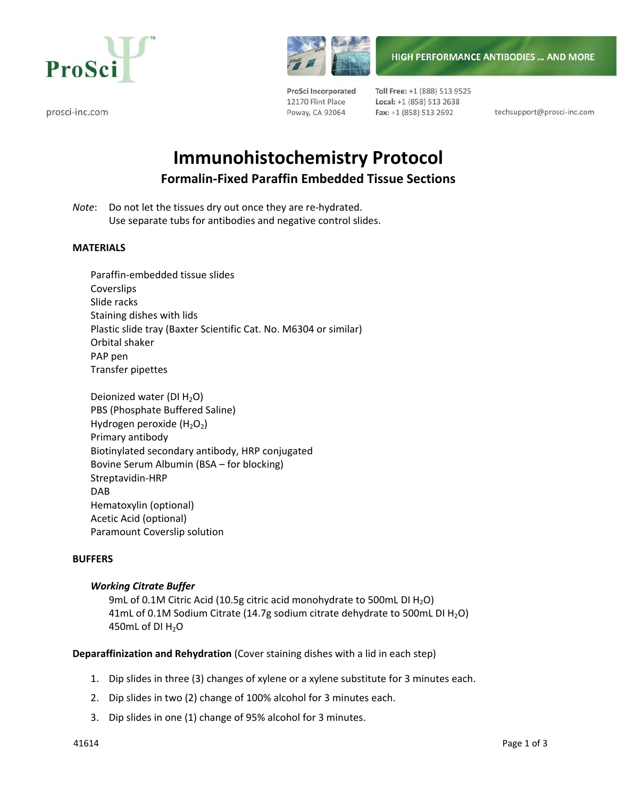

prosci-inc.com



**HIGH PERFORMANCE ANTIBODIES ... AND MORE** 

ProSci Incorporated 12170 Flint Place Poway, CA 92064

Toll Free: +1 (888) 513 9525 Local: +1 (858) 513 2638 Fax: +1 (858) 513 2692

techsupport@prosci-inc.com

# **Immunohistochemistry Protocol Formalin‐Fixed Paraffin Embedded Tissue Sections**

*Note*: Do not let the tissues dry out once they are re-hydrated. Use separate tubs for antibodies and negative control slides.

## **MATERIALS**

- Paraffin‐embedded tissue slides Coverslips Slide racks Staining dishes with lids Plastic slide tray (Baxter Scientific Cat. No. M6304 or similar) Orbital shaker PAP pen Transfer pipettes
- Deionized water (DI  $H_2O$ ) PBS (Phosphate Buffered Saline) Hydrogen peroxide  $(H<sub>2</sub>O<sub>2</sub>)$ Primary antibody Biotinylated secondary antibody, HRP conjugated Bovine Serum Albumin (BSA – for blocking) Streptavidin‐HRP DAB Hematoxylin (optional) Acetic Acid (optional) Paramount Coverslip solution

## **BUFFERS**

## *Working Citrate Buffer*

9mL of 0.1M Citric Acid (10.5g citric acid monohydrate to 500mL DI H<sub>2</sub>O) 41mL of 0.1M Sodium Citrate (14.7g sodium citrate dehydrate to 500mL DI  $H_2O$ ) 450mL of DI $H_2O$ 

**Deparaffinization and Rehydration** (Cover staining dishes with a lid in each step)

- 1. Dip slides in three (3) changes of xylene or a xylene substitute for 3 minutes each.
- 2. Dip slides in two (2) change of 100% alcohol for 3 minutes each.
- 3. Dip slides in one (1) change of 95% alcohol for 3 minutes.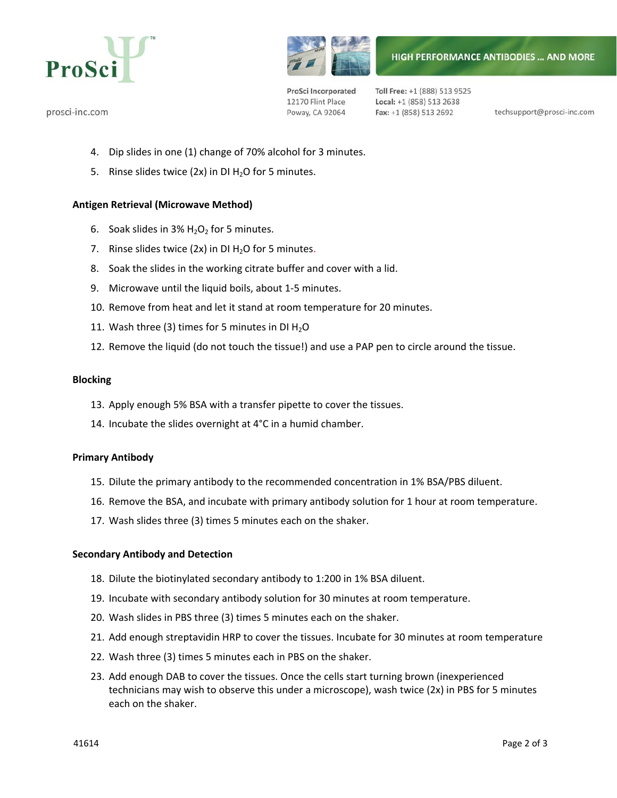

prosci-inc.com



**HIGH PERFORMANCE ANTIBODIES ... AND MORE** 

ProSci Incorporated 12170 Flint Place Poway, CA 92064

Toll Free: +1 (888) 513 9525 Local: +1 (858) 513 2638 Fax: +1 (858) 513 2692

techsupport@prosci-inc.com

- 4. Dip slides in one (1) change of 70% alcohol for 3 minutes.
- 5. Rinse slides twice (2x) in DI  $H_2O$  for 5 minutes.

## **Antigen Retrieval (Microwave Method)**

- 6. Soak slides in  $3\%$  H<sub>2</sub>O<sub>2</sub> for 5 minutes.
- 7. Rinse slides twice  $(2x)$  in DI  $H<sub>2</sub>O$  for 5 minutes.
- 8. Soak the slides in the working citrate buffer and cover with a lid.
- 9. Microwave until the liquid boils, about 1‐5 minutes.
- 10. Remove from heat and let it stand at room temperature for 20 minutes.
- 11. Wash three (3) times for 5 minutes in DI  $H_2O$
- 12. Remove the liquid (do not touch the tissue!) and use a PAP pen to circle around the tissue.

#### **Blocking**

- 13. Apply enough 5% BSA with a transfer pipette to cover the tissues.
- 14. Incubate the slides overnight at 4°C in a humid chamber.

## **Primary Antibody**

- 15. Dilute the primary antibody to the recommended concentration in 1% BSA/PBS diluent.
- 16. Remove the BSA, and incubate with primary antibody solution for 1 hour at room temperature.
- 17. Wash slides three (3) times 5 minutes each on the shaker.

## **Secondary Antibody and Detection**

- 18. Dilute the biotinylated secondary antibody to 1:200 in 1% BSA diluent.
- 19. Incubate with secondary antibody solution for 30 minutes at room temperature.
- 20. Wash slides in PBS three (3) times 5 minutes each on the shaker.
- 21. Add enough streptavidin HRP to cover the tissues. Incubate for 30 minutes at room temperature
- 22. Wash three (3) times 5 minutes each in PBS on the shaker.
- 23. Add enough DAB to cover the tissues. Once the cells start turning brown (inexperienced technicians may wish to observe this under a microscope), wash twice (2x) in PBS for 5 minutes each on the shaker.